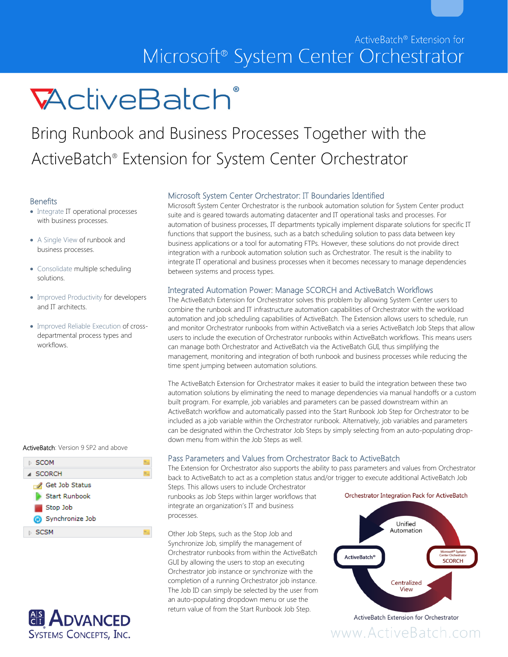

# Bring Runbook and Business Processes Together with the ActiveBatch® Extension for System Center Orchestrator

### **Benefits**

- Integrate IT operational processes with business processes.
- A Single View of runbook and business processes.
- Consolidate multiple scheduling solutions.
- Improved Productivity for developers and IT architects.
- Improved Reliable Execution of crossdepartmental process types and workflows.

#### ActiveBatch: Version 9 SP2 and above





# Microsoft System Center Orchestrator: IT Boundaries Identified

Microsoft System Center Orchestrator is the runbook automation solution for System Center product suite and is geared towards automating datacenter and IT operational tasks and processes. For automation of business processes, IT departments typically implement disparate solutions for specific IT functions that support the business, such as a batch scheduling solution to pass data between key business applications or a tool for automating FTPs. However, these solutions do not provide direct integration with a runbook automation solution such as Orchestrator. The result is the inability to integrate IT operational and business processes when it becomes necessary to manage dependencies between systems and process types.

### Integrated Automation Power: Manage SCORCH and ActiveBatch Workflows

The ActiveBatch Extension for Orchestrator solves this problem by allowing System Center users to combine the runbook and IT infrastructure automation capabilities of Orchestrator with the workload automation and job scheduling capabilities of ActiveBatch. The Extension allows users to schedule, run and monitor Orchestrator runbooks from within ActiveBatch via a series ActiveBatch Job Steps that allow users to include the execution of Orchestrator runbooks within ActiveBatch workflows. This means users can manage both Orchestrator and ActiveBatch via the ActiveBatch GUI, thus simplifying the management, monitoring and integration of both runbook and business processes while reducing the time spent jumping between automation solutions.

The ActiveBatch Extension for Orchestrator makes it easier to build the integration between these two automation solutions by eliminating the need to manage dependencies via manual handoffs or a custom built program. For example, job variables and parameters can be passed downstream within an ActiveBatch workflow and automatically passed into the Start Runbook Job Step for Orchestrator to be included as a job variable within the Orchestrator runbook. Alternatively, job variables and parameters can be designated within the Orchestrator Job Steps by simply selecting from an auto-populating dropdown menu from within the Job Steps as well.

# Pass Parameters and Values from Orchestrator Back to ActiveBatch

The Extension for Orchestrator also supports the ability to pass parameters and values from Orchestrator back to ActiveBatch to act as a completion status and/or trigger to execute additional ActiveBatch Job

Steps. This allows users to include Orchestrator runbooks as Job Steps within larger workflows that integrate an organization's IT and business processes.

Other Job Steps, such as the Stop Job and Synchronize Job, simplify the management of Orchestrator runbooks from within the ActiveBatch GUI by allowing the users to stop an executing Orchestrator job instance or synchronize with the completion of a running Orchestrator job instance. The Job ID can simply be selected by the user from an auto-populating dropdown menu or use the return value of from the Start Runbook Job Step.

Orchestrator Integration Pack for ActiveBatch



www.ActiveBatch.com